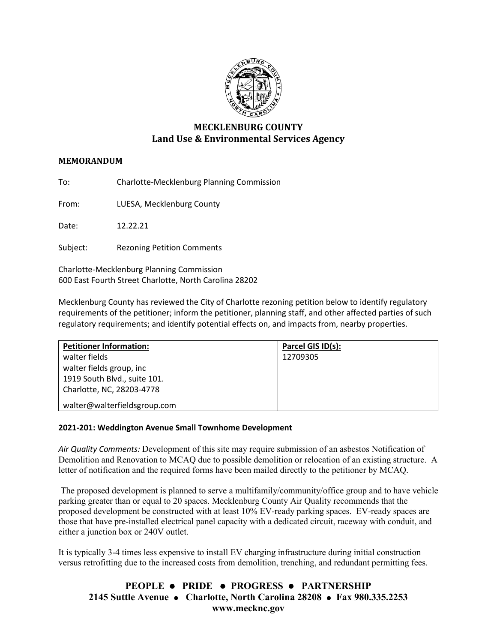

# **MECKLENBURG COUNTY Land Use & Environmental Services Agency**

## **MEMORANDUM**

To: Charlotte-Mecklenburg Planning Commission

From: LUESA, Mecklenburg County

Date: 12.22.21

Subject: Rezoning Petition Comments

Charlotte-Mecklenburg Planning Commission 600 East Fourth Street Charlotte, North Carolina 28202

Mecklenburg County has reviewed the City of Charlotte rezoning petition below to identify regulatory requirements of the petitioner; inform the petitioner, planning staff, and other affected parties of such regulatory requirements; and identify potential effects on, and impacts from, nearby properties.

| <b>Petitioner Information:</b> | Parcel GIS ID(s): |
|--------------------------------|-------------------|
| walter fields                  | 12709305          |
| walter fields group, inc       |                   |
| 1919 South Blvd., suite 101.   |                   |
| Charlotte, NC, 28203-4778      |                   |
| walter@walterfieldsgroup.com   |                   |

## **2021-201: Weddington Avenue Small Townhome Development**

*Air Quality Comments:* Development of this site may require submission of an asbestos Notification of Demolition and Renovation to MCAQ due to possible demolition or relocation of an existing structure. A letter of notification and the required forms have been mailed directly to the petitioner by MCAQ.

The proposed development is planned to serve a multifamily/community/office group and to have vehicle parking greater than or equal to 20 spaces. Mecklenburg County Air Quality recommends that the proposed development be constructed with at least 10% EV-ready parking spaces. EV-ready spaces are those that have pre-installed electrical panel capacity with a dedicated circuit, raceway with conduit, and either a junction box or 240V outlet.

It is typically 3-4 times less expensive to install EV charging infrastructure during initial construction versus retrofitting due to the increased costs from demolition, trenching, and redundant permitting fees.

## **PEOPLE PRIDE PROGRESS PARTNERSHIP 2145 Suttle Avenue Charlotte, North Carolina 28208 Fax 980.335.2253 www.mecknc.gov**